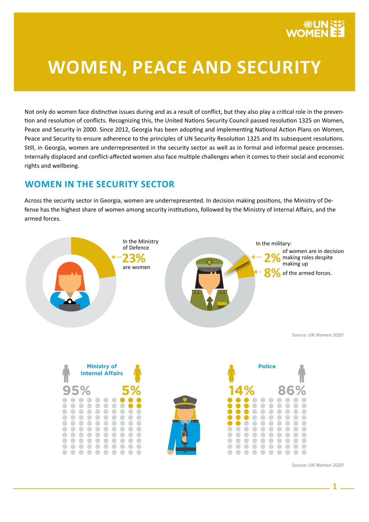# **WOMEN, PEACE AND SECURITY**

Not only do women face distinctive issues during and as a result of conflict, but they also play a critical role in the prevention and resolution of conflicts. Recognizing this, the United Nations Security Council passed resolution 1325 on Women, Peace and Security in 2000. Since 2012, Georgia has been adopting and implementing National Action Plans on Women, Peace and Security to ensure adherence to the principles of UN Security Resolution 1325 and its subsequent resolutions. Still, in Georgia, women are underrepresented in the security sector as well as in formal and informal peace processes. Internally displaced and conflict-affected women also face multiple challenges when it comes to their social and economic rights and wellbeing.

## **WOMEN IN THE SECURITY SECTOR**

 $\blacksquare$  $\bigcirc$ 

 $\blacksquare$  $\bullet$  $\begin{array}{c} \begin{array}{c} \begin{array}{c} \begin{array}{c} \end{array} \end{array} \end{array} \end{array} \end{array}$  $\bullet$  $\blacksquare$  $\blacksquare$  $\blacksquare$  $\bullet$  $\begin{array}{ccc} \hline \end{array}$  $\sqrt{2}$  $\sqrt{2}$ 

 $\sqrt{2}$ 

 $\bullet$ 

 $\bullet$  $\blacksquare$  $\bullet$  $\bullet$  $\bullet$  $\bullet$  $\bullet$  $\bullet$  $\bullet\bullet$ 

 $\ddot{\phantom{a}}$  $\ddot{\bullet}$  $\ddot{\bullet}$  $\ddot{\bullet}$  $\ddot{\phantom{a}}$  $\ddot{\bullet}$  $\ddot{\bullet}$  $\ddot{\phantom{a}}$ Ŏ

 $\begin{array}{c} \bullet \\ \bullet \end{array}$  $\bullet$  $\begin{array}{c} \bullet \\ \bullet \end{array}$  $\begin{array}{ccc} \bullet & \bullet & \bullet \\ \bullet & \bullet & \bullet \end{array}$ 

 $\bullet\bullet\bullet$ 

. . . . . . .

 $\bigcirc$  $\blacksquare$  $\overline{\phantom{a}}$ 

 $\bullet$  $\bullet\bullet$ 

 $\bullet\bullet\bullet$ 

 $\sqrt{2}$  $\sqrt{2}$ 

. . .

Across the security sector in Georgia, women are underrepresented. In decision making positions, the Ministry of Defense has the highest share of women among security institutions, followed by the Ministry of Internal Affairs, and the armed forces.





Source: UN Women 20202

 $\bullet$ 

 $\bigcirc$ 

 $\bullet$  $\sqrt{2}$ 

 $\blacksquare$  $\Box$  $\bullet$  $\blacksquare$ 

Ō Ŏ  $\ddot{\bullet}$  $\ddot{\phantom{a}}$  $\ddot{\phantom{a}}$  $\ddot{\bullet}$  $\ddot{\bullet}$ Ŏ

> $\bullet\bullet$  $\bullet$  $\bullet$  $\bullet$  $\bullet$  $\bullet$

......

C  $\bigcirc$  $\sqrt{2}$  $\bullet$  $\bullet$  $\blacksquare$  $\blacksquare$  $\begin{array}{ccc} \hline \end{array}$  $\sqrt{2}$ 

 $\bullet$  $\bullet$  $\begin{array}{c} \bullet \\ \bullet \end{array}$  $\bullet$ 

 $\bullet$  $\bullet$  $\bullet$ 

 $\bullet$  $\bullet$  $\bullet$  $\blacksquare$  $\bullet$  $\bullet$  $\bullet$  $\Box$ 

 $\bullet$   $\bullet$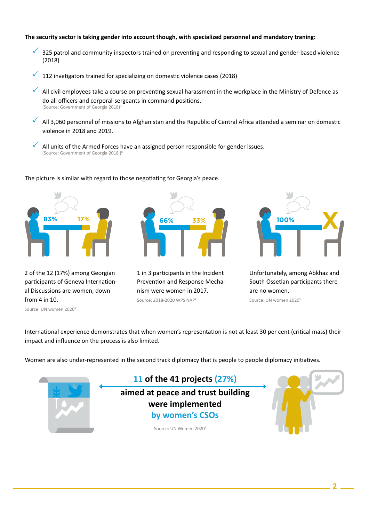#### **The security sector is taking gender into account though, with specialized personnel and mandatory traning:**

- $\checkmark$  325 patrol and community inspectors trained on preventing and responding to sexual and gender-based violence (2018)
- 112 invetigators trained for specializing on domestic violence cases (2018)
- $\checkmark$  All civil employees take a course on preventing sexual harassment in the workplace in the Ministry of Defence as do all officers and corporal-sergeants in command positions. (Source: Government of Georgia 2018)<sup>7</sup>
- $\overline{A}$  All 3,060 personnel of missions to Afghanistan and the Republic of Central Africa attended a seminar on domestic violence in 2018 and 2019.
- All units of the Armed Forces have an assigned person responsible for gender issues. (Source: Government of Georgia 2018)<sup>8</sup>



2 of the 12 (17%) among Georgian participants of Geneva International Discussions are women, down

The picture is similar with regard to those negotiating for Georgia's peace.

1 in 3 participants in the Incident Prevention and Response Mechanism were women in 2017. Source: 2018-2020 WPS NAP4



Unfortunately, among Abkhaz and South Ossetian participants there are no women. Source: UN women 20205

Source: UN women 20203

from 4 in 10.

International experience demonstrates that when women's representation is not at least 30 per cent (critical mass) their impact and influence on the process is also limited.

Women are also under-represented in the second track diplomacy that is people to people diplomacy initiatives.

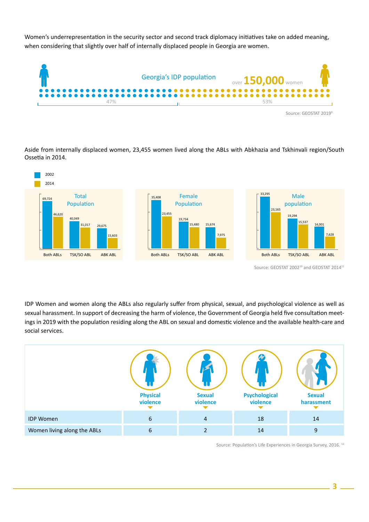Women's underrepresentation in the security sector and second track diplomacy initiatives take on added meaning, when considering that slightly over half of internally displaced people in Georgia are women.



Aside from internally displaced women, 23,455 women lived along the ABLs with Abkhazia and Tskhinvali region/South Ossetia in 2014.



Source: GEOSTAT 2002<sup>10</sup> and GEOSTAT 2014<sup>11</sup>

IDP Women and women along the ABLs also regularly suffer from physical, sexual, and psychological violence as well as sexual harassment. In support of decreasing the harm of violence, the Government of Georgia held five consultation meetings in 2019 with the population residing along the ABL on sexual and domestic violence and the available health-care and social services.



Source: Population's Life Experiences in Georgia Survey, 2016. 12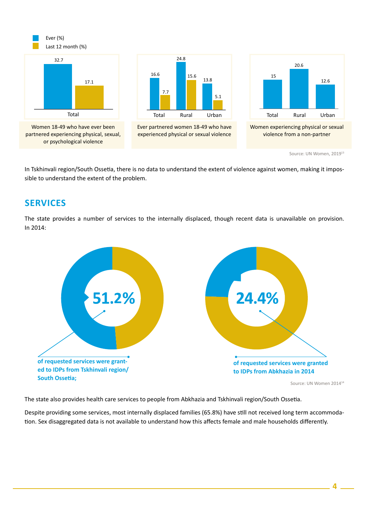

In Tskhinvali region/South Ossetia, there is no data to understand the extent of violence against women, making it impossible to understand the extent of the problem.

### **SERVICES**

The state provides a number of services to the internally displaced, though recent data is unavailable on provision. In 2014:



The state also provides health care services to people from Abkhazia and Tskhinvali region/South Ossetia.

Despite providing some services, most internally displaced families (65.8%) have still not received long term accommodation. Sex disaggregated data is not available to understand how this affects female and male households differently.